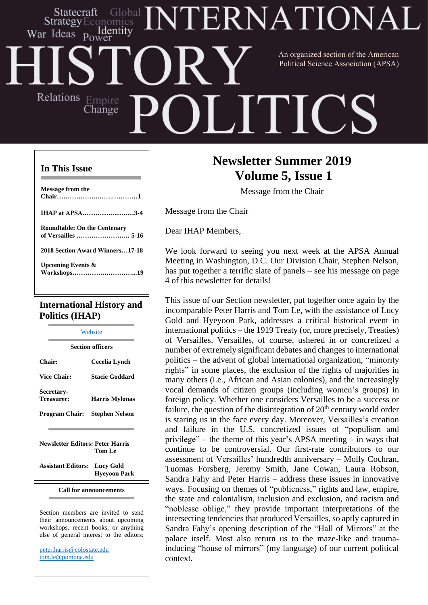## **ERNATIONA** Statecraft Strategy ldentitv War Ideas An organized section of the American Political Science Association (APSA)Relations Empire  $\prod$ Ť, Change

#### **In This Issue**

| <b>International History and</b>    |
|-------------------------------------|
|                                     |
| <b>Upcoming Events &amp;</b>        |
| 2018 Section Award Winners17-18     |
| <b>Roundtable: On the Centenary</b> |
| <b>IHAP at APSA3-4</b>              |
|                                     |
| <b>Message from the</b>             |
|                                     |

# **Politics (IHAP)**

|                                         | Website                 |
|-----------------------------------------|-------------------------|
|                                         | <b>Section officers</b> |
| Chair:                                  | Cecelia Lynch           |
| <b>Vice Chair:</b>                      | <b>Stacie Goddard</b>   |
| <b>Secretary-</b><br>Treasurer:         | <b>Harris Mylonas</b>   |
| Program Chair:                          | <b>Stephen Nelson</b>   |
|                                         |                         |
| <b>Newsletter Editors: Peter Harris</b> |                         |

 **Tom Le**

**Assistant Editors: Lucy Gold Hyeyoon Park**

**Call for announcements**

Section members are invited to send their announcements about upcoming workshops, recent books, or anything else of general interest to the editors:

[peter.harris@colostate.edu](mailto:peter.harris@colostate.edu) [tom.le@pomona.edu](mailto:tom.le@pomona.edu)

## **Newsletter Summer 2019 Volume 5, Issue 1**

Message from the Chair

Message from the Chair

Dear IHAP Members,

We look forward to seeing you next week at the APSA Annual Meeting in Washington, D.C. Our Division Chair, Stephen Nelson, has put together a terrific slate of panels – see his message on page 4 of this newsletter for details!

This issue of our Section newsletter, put together once again by the incomparable Peter Harris and Tom Le, with the assistance of Lucy Gold and Hyeyoon Park, addresses a critical historical event in international politics – the 1919 Treaty (or, more precisely, Treaties) of Versailles. Versailles, of course, ushered in or concretized a number of extremely significant debates and changes to international politics – the advent of global international organization, "minority rights" in some places, the exclusion of the rights of majorities in many others (i.e., African and Asian colonies), and the increasingly vocal demands of citizen groups (including women's groups) in foreign policy. Whether one considers Versailles to be a success or failure, the question of the disintegration of  $20<sup>th</sup>$  century world order is staring us in the face every day. Moreover, Versailles's creation and failure in the U.S. concretized issues of "populism and privilege" – the theme of this year's APSA meeting – in ways that continue to be controversial. Our first-rate contributors to our assessment of Versailles' hundredth anniversary – Molly Cochran, Tuomas Forsberg, Jeremy Smith, Jane Cowan, Laura Robson, Sandra Fahy and Peter Harris – address these issues in innovative ways. Focusing on themes of "publicness," rights and law, empire, the state and colonialism, inclusion and exclusion, and racism and "noblesse oblige," they provide important interpretations of the intersecting tendencies that produced Versailles, so aptly captured in Sandra Fahy's opening description of the "Hall of Mirrors" at the palace itself. Most also return us to the maze-like and traumainducing "house of mirrors" (my language) of our current political context.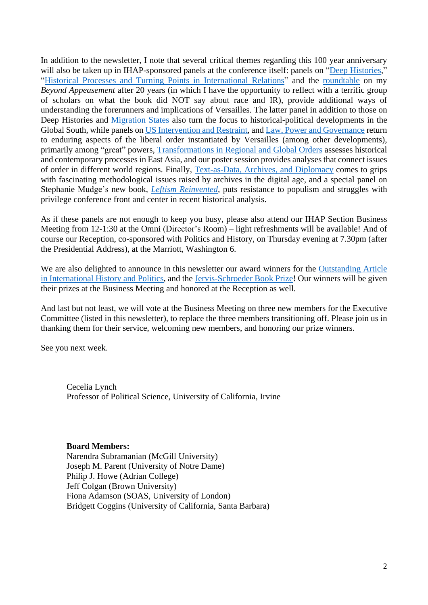In addition to the newsletter, I note that several critical themes regarding this 100 year anniversary will also be taken up in IHAP-sponsored panels at the conference itself: panels on "Deep [Histories,](https://convention2.allacademic.com/one/apsa/apsa19/index.php?cmd=Online+Program+View+Session&selected_session_id=1544629&PHPSESSID=jtnsggb3ighaf5r3rqhq16qkk3)" "Historical Processes and Turning Points in [International](https://convention2.allacademic.com/one/apsa/apsa19/index.php?cmd=Online+Program+View+Session&selected_session_id=1544633&PHPSESSID=jtnsggb3ighaf5r3rqhq16qkk3) Relations" and the [roundtable](https://convention2.allacademic.com/one/apsa/apsa19/index.php?cmd=Online+Program+View+Session&selected_session_id=1520922&PHPSESSID=jtnsggb3ighaf5r3rqhq16qkk3) on my *Beyond Appeasement* after 20 years (in which I have the opportunity to reflect with a terrific group of scholars on what the book did NOT say about race and IR), provide additional ways of understanding the forerunners and implications of Versailles. The latter panel in addition to those on Deep Histories and [Migration](https://convention2.allacademic.com/one/apsa/apsa19/index.php?cmd=Online+Program+View+Session&selected_session_id=1519843&PHPSESSID=jtnsggb3ighaf5r3rqhq16qkk3) States also turn the focus to historical-political developments in the Global South, while panels on US [Intervention](https://convention2.allacademic.com/one/apsa/apsa19/index.php?cmd=Online+Program+View+Session&selected_session_id=1544599&PHPSESSID=jtnsggb3ighaf5r3rqhq16qkk3) and Restraint, and Law, Power and [Governance](https://convention2.allacademic.com/one/apsa/apsa19/index.php?cmd=Online+Program+View+Session&selected_session_id=1517912&PHPSESSID=jtnsggb3ighaf5r3rqhq16qkk3) return to enduring aspects of the liberal order instantiated by Versailles (among other developments), primarily among "great" powers, [Transformations](https://convention2.allacademic.com/one/apsa/apsa19/index.php?cmd=Online+Program+View+Session&selected_session_id=1544614&PHPSESSID=jtnsggb3ighaf5r3rqhq16qkk3) in Regional and Global Orders assesses historical and contemporary processes in East Asia, and our poster session provides analyses that connect issues of order in different world regions. Finally, [Text-as-Data,](https://convention2.allacademic.com/one/apsa/apsa19/index.php?cmd=Online+Program+View+Session&selected_session_id=1522430&PHPSESSID=jtnsggb3ighaf5r3rqhq16qkk3) Archives, and Diplomacy comes to grips with fascinating methodological issues raised by archives in the digital age, and a special panel on Stephanie Mudge's new book, *Leftism [Reinvented,](https://convention2.allacademic.com/one/apsa/apsa19/index.php?cmd=Online+Program+View+Session&selected_session_id=1512981&PHPSESSID=jtnsggb3ighaf5r3rqhq16qkk3)* puts resistance to populism and struggles with privilege conference front and center in recent historical analysis.

As if these panels are not enough to keep you busy, please also attend our IHAP Section Business Meeting from 12-1:30 at the Omni (Director's Room) – light refreshments will be available! And of course our Reception, co-sponsored with Politics and History, on Thursday evening at 7.30pm (after the Presidential Address), at the Marriott, Washington 6.

We are also delighted to announce in this newsletter our award winners for the [Outstanding](https://connect.apsanet.org/s34/71-2/) Article in [International](https://connect.apsanet.org/s34/71-2/) History and Politics, and the [Jervis-Schroeder](https://connect.apsanet.org/s34/jervis-schroeder-award-winners/) Book Prize! Our winners will be given their prizes at the Business Meeting and honored at the Reception as well.

And last but not least, we will vote at the Business Meeting on three new members for the Executive Committee (listed in this newsletter), to replace the three members transitioning off. Please join us in thanking them for their service, welcoming new members, and honoring our prize winners.

See you next week.

Cecelia Lynch Professor of Political Science, University of California, Irvine

#### **Board Members:**

Narendra Subramanian (McGill University) Joseph M. Parent (University of Notre Dame) Philip J. Howe (Adrian College) Jeff Colgan (Brown University) Fiona Adamson (SOAS, University of London) Bridgett Coggins (University of California, Santa Barbara)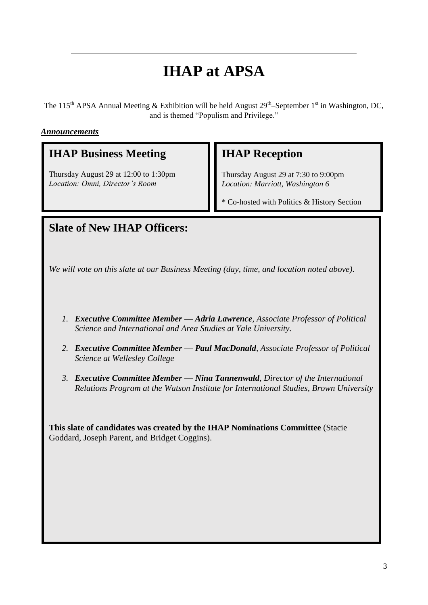## **IHAP at APSA**

The 115<sup>th</sup> APSA Annual Meeting & Exhibition will be held August  $29<sup>th</sup>$ -September 1<sup>st</sup> in Washington, DC, and is themed "Populism and Privilege."

#### *Announcements*

## **IHAP Business Meeting**

Thursday August 29 at 12:00 to 1:30pm *Location: Omni, Director's Room*

## **IHAP Reception**

Thursday August 29 at 7:30 to 9:00pm *Location: Marriott, Washington 6*

\* Co-hosted with Politics & History Section

## **Slate of New IHAP Officers:**

*We will vote on this slate at our Business Meeting (day, time, and location noted above).*

- *1. Executive Committee Member — Adria Lawrence, Associate Professor of Political Science and International and Area Studies at Yale University.*
- *2. Executive Committee Member — Paul MacDonald, Associate Professor of Political Science at Wellesley College*
- *3. Executive Committee Member — Nina Tannenwald, Director of the International Relations Program at the Watson Institute for International Studies, Brown University*

**This slate of candidates was created by the IHAP Nominations Committee** (Stacie Goddard, Joseph Parent, and Bridget Coggins).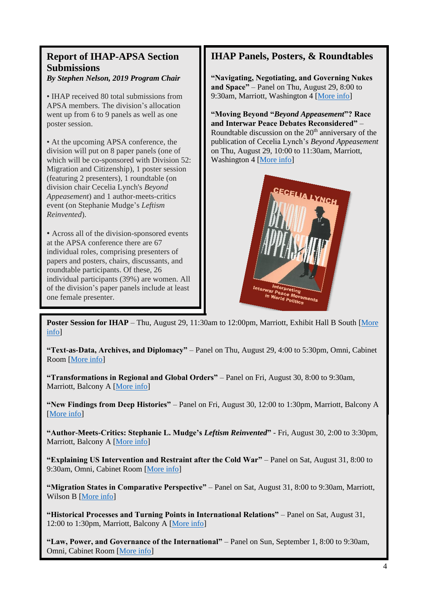## **Report of IHAP-APSA Section Submissions**

*By Stephen Nelson, 2019 Program Chair*

• **IHAP** received 80 total submissions from APSA members. The division's allocation went up from 6 to 9 panels as well as one poster session.

• At the upcoming APSA conference, the division will put on 8 paper panels (one of which will be co-sponsored with Division 52: Migration and Citizenship), 1 poster session (featuring 2 presenters), 1 roundtable (on division chair Cecelia Lynch's *Beyond Appeasement*) and 1 author-meets-critics event (on Stephanie Mudge's *Leftism Reinvented*).

• Across all of the division-sponsored events at the APSA conference there are 67 individual roles, comprising presenters of papers and posters, chairs, discussants, and roundtable participants. Of these, 26 individual participants (39%) are women. All of the division's paper panels include at least one female presenter.

## **IHAP Panels, Posters, & Roundtables**

**"Navigating, Negotiating, and Governing Nukes and Space"** – Panel on Thu, August 29, 8:00 to 9:30am, Marriott, Washington 4 [\[More info\]](https://convention2.allacademic.com/one/apsa/apsa19/index.php?cmd=Online+Program+View+Session&selected_session_id=1544616&PHPSESSID=jtnsggb3ighaf5r3rqhq16qkk3)

**"Moving Beyond "***Beyond Appeasement***"? Race and Interwar Peace Debates Reconsidered"** – Roundtable discussion on the  $20<sup>th</sup>$  anniversary of the publication of Cecelia Lynch's *Beyond Appeasement* on Thu, August 29, 10:00 to 11:30am, Marriott, Washington 4 [\[More info\]](https://convention2.allacademic.com/one/apsa/apsa19/index.php?cmd=Online+Program+View+Session&selected_session_id=1520922&PHPSESSID=jtnsggb3ighaf5r3rqhq16qkk3)



**Poster Session for IHAP** – Thu, August 29, 11:30am to 12:00pm, Marriott, Exhibit Hall B South [More [info\]](https://convention2.allacademic.com/one/apsa/apsa19/index.php?cmd=Online+Program+View+Session&selected_session_id=1544510&PHPSESSID=jtnsggb3ighaf5r3rqhq16qkk3)

**"Text-as-Data, Archives, and Diplomacy"** – Panel on Thu, August 29, 4:00 to 5:30pm, Omni, Cabinet Room [\[More info\]](https://convention2.allacademic.com/one/apsa/apsa19/index.php?cmd=Online+Program+View+Session&selected_session_id=1522430&PHPSESSID=jtnsggb3ighaf5r3rqhq16qkk3)

**"Transformations in Regional and Global Orders"** – Panel on Fri, August 30, 8:00 to 9:30am, Marriott, Balcony A [\[More info\]](https://convention2.allacademic.com/one/apsa/apsa19/index.php?cmd=Online+Program+View+Session&selected_session_id=1544614&PHPSESSID=jtnsggb3ighaf5r3rqhq16qkk3)

**"New Findings from Deep Histories"** – Panel on Fri, August 30, 12:00 to 1:30pm, Marriott, Balcony A [\[More info\]](https://convention2.allacademic.com/one/apsa/apsa19/index.php?cmd=Online+Program+View+Session&selected_session_id=1544629&PHPSESSID=jtnsggb3ighaf5r3rqhq16qkk3)

**"Author-Meets-Critics: Stephanie L. Mudge's** *Leftism Reinvented***"** - Fri, August 30, 2:00 to 3:30pm, Marriott, Balcony A [\[More info\]](https://convention2.allacademic.com/one/apsa/apsa19/index.php?cmd=Online+Program+View+Session&selected_session_id=1512981&PHPSESSID=jtnsggb3ighaf5r3rqhq16qkk3)

**"Explaining US Intervention and Restraint after the Cold War"** – Panel on Sat, August 31, 8:00 to 9:30am, Omni, Cabinet Room [\[More info\]](https://convention2.allacademic.com/one/apsa/apsa19/index.php?cmd=Online+Program+View+Session&selected_session_id=1544599&PHPSESSID=jtnsggb3ighaf5r3rqhq16qkk3)

**"Migration States in Comparative Perspective"** – Panel on Sat, August 31, 8:00 to 9:30am, Marriott, Wilson B [\[More info\]](https://convention2.allacademic.com/one/apsa/apsa19/index.php?cmd=Online+Program+View+Session&selected_session_id=1519843&PHPSESSID=jtnsggb3ighaf5r3rqhq16qkk3)

**"Historical Processes and Turning Points in International Relations"** – Panel on Sat, August 31, 12:00 to 1:30pm, Marriott, Balcony A [\[More info\]](https://convention2.allacademic.com/one/apsa/apsa19/index.php?cmd=Online+Program+View+Session&selected_session_id=1544633&PHPSESSID=jtnsggb3ighaf5r3rqhq16qkk3)

**"Law, Power, and Governance of the International"** – Panel on Sun, September 1, 8:00 to 9:30am, Omni, Cabinet Room [\[More info\]](https://convention2.allacademic.com/one/apsa/apsa19/index.php?cmd=Online+Program+View+Session&selected_session_id=1517912&PHPSESSID=jtnsggb3ighaf5r3rqhq16qkk3)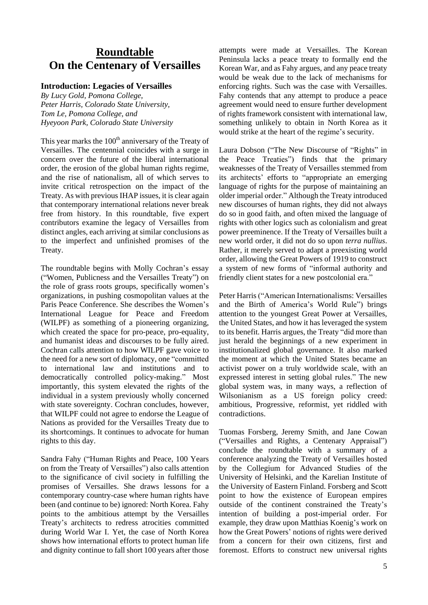## **Roundtable On the Centenary of Versailles**

#### **Introduction: Legacies of Versailles**

*By Lucy Gold, Pomona College, Peter Harris, Colorado State University, Tom Le, Pomona College, and Hyeyoon Park, Colorado State University*

This year marks the  $100<sup>th</sup>$  anniversary of the Treaty of Versailles. The centennial coincides with a surge in concern over the future of the liberal international order, the erosion of the global human rights regime, and the rise of nationalism, all of which serves to invite critical retrospection on the impact of the Treaty. As with previous IHAP issues, it is clear again that contemporary international relations never break free from history. In this roundtable, five expert contributors examine the legacy of Versailles from distinct angles, each arriving at similar conclusions as to the imperfect and unfinished promises of the Treaty.

The roundtable begins with Molly Cochran's essay ("Women, Publicness and the Versailles Treaty") on the role of grass roots groups, specifically women's organizations, in pushing cosmopolitan values at the Paris Peace Conference. She describes the Women's International League for Peace and Freedom (WILPF) as something of a pioneering organizing, which created the space for pro-peace, pro-equality, and humanist ideas and discourses to be fully aired. Cochran calls attention to how WILPF gave voice to the need for a new sort of diplomacy, one "committed to international law and institutions and to democratically controlled policy-making." Most importantly, this system elevated the rights of the individual in a system previously wholly concerned with state sovereignty. Cochran concludes, however, that WILPF could not agree to endorse the League of Nations as provided for the Versailles Treaty due to its shortcomings. It continues to advocate for human rights to this day.

Sandra Fahy ("Human Rights and Peace, 100 Years on from the Treaty of Versailles") also calls attention to the significance of civil society in fulfilling the promises of Versailles. She draws lessons for a contemporary country-case where human rights have been (and continue to be) ignored: North Korea. Fahy points to the ambitious attempt by the Versailles Treaty's architects to redress atrocities committed during World War I. Yet, the case of North Korea shows how international efforts to protect human life and dignity continue to fall short 100 years after those

attempts were made at Versailles. The Korean Peninsula lacks a peace treaty to formally end the Korean War, and as Fahy argues, and any peace treaty would be weak due to the lack of mechanisms for enforcing rights. Such was the case with Versailles. Fahy contends that any attempt to produce a peace agreement would need to ensure further development of rights framework consistent with international law, something unlikely to obtain in North Korea as it would strike at the heart of the regime's security.

Laura Dobson ("The New Discourse of "Rights" in the Peace Treaties") finds that the primary weaknesses of the Treaty of Versailles stemmed from its architects' efforts to "appropriate an emerging language of rights for the purpose of maintaining an older imperial order." Although the Treaty introduced new discourses of human rights, they did not always do so in good faith, and often mixed the language of rights with other logics such as colonialism and great power preeminence. If the Treaty of Versailles built a new world order, it did not do so upon *terra nullius*. Rather, it merely served to adapt a preexisting world order, allowing the Great Powers of 1919 to construct a system of new forms of "informal authority and friendly client states for a new postcolonial era."

Peter Harris ("American Internationalisms: Versailles and the Birth of America's World Rule") brings attention to the youngest Great Power at Versailles, the United States, and how it has leveraged the system to its benefit. Harris argues, the Treaty "did more than just herald the beginnings of a new experiment in institutionalized global governance. It also marked the moment at which the United States became an activist power on a truly worldwide scale, with an expressed interest in setting global rules." The new global system was, in many ways, a reflection of Wilsonianism as a US foreign policy creed: ambitious, Progressive, reformist, yet riddled with contradictions.

Tuomas Forsberg, Jeremy Smith, and Jane Cowan ("Versailles and Rights, a Centenary Appraisal") conclude the roundtable with a summary of a conference analyzing the Treaty of Versailles hosted by the Collegium for Advanced Studies of the University of Helsinki, and the Karelian Institute of the University of Eastern Finland. Forsberg and Scott point to how the existence of European empires outside of the continent constrained the Treaty's intention of building a post-imperial order. For example, they draw upon Matthias Koenig's work on how the Great Powers' notions of rights were derived from a concern for their own citizens, first and foremost. Efforts to construct new universal rights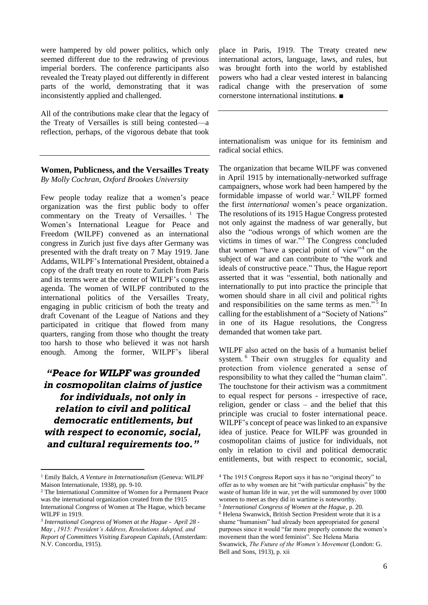were hampered by old power politics, which only seemed different due to the redrawing of previous imperial borders. The conference participants also revealed the Treaty played out differently in different parts of the world, demonstrating that it was inconsistently applied and challenged.

All of the contributions make clear that the legacy of the Treaty of Versailles is still being contested—a reflection, perhaps, of the vigorous debate that took

#### **Women, Publicness, and the Versailles Treaty** *By Molly Cochran, Oxford Brookes University*

Few people today realize that a women's peace organization was the first public body to offer commentary on the Treaty of Versailles.<sup>1</sup> The Women's International League for Peace and Freedom (WILPF) convened as an international congress in Zurich just five days after Germany was presented with the draft treaty on 7 May 1919. Jane Addams, WILPF's International President, obtained a copy of the draft treaty en route to Zurich from Paris and its terms were at the center of WILPF's congress agenda. The women of WILPF contributed to the international politics of the Versailles Treaty, engaging in public criticism of both the treaty and draft Covenant of the League of Nations and they participated in critique that flowed from many quarters, ranging from those who thought the treaty too harsh to those who believed it was not harsh enough. Among the former, WILPF's liberal

## *"Peace for WILPF was grounded in cosmopolitan claims of justice for individuals, not only in relation to civil and political democratic entitlements, but with respect to economic, social, and cultural requirements too."*

place in Paris, 1919. The Treaty created new international actors, language, laws, and rules, but was brought forth into the world by established powers who had a clear vested interest in balancing radical change with the preservation of some cornerstone international institutions. ■

internationalism was unique for its feminism and radical social ethics.

The organization that became WILPF was convened in April 1915 by internationally-networked suffrage campaigners, whose work had been hampered by the formidable impasse of world war.<sup>2</sup> WILPF formed the first *international* women's peace organization. The resolutions of its 1915 Hague Congress protested not only against the madness of war generally, but also the "odious wrongs of which women are the victims in times of war." <sup>3</sup> The Congress concluded that women "have a special point of view"<sup>4</sup> on the subject of war and can contribute to "the work and ideals of constructive peace." Thus, the Hague report asserted that it was "essential, both nationally and internationally to put into practice the principle that women should share in all civil and political rights and responsibilities on the same terms as men."<sup>5</sup> In calling for the establishment of a "Society of Nations" in one of its Hague resolutions, the Congress demanded that women take part.

WILPF also acted on the basis of a humanist belief system. <sup>6</sup> Their own struggles for equality and protection from violence generated a sense of responsibility to what they called the "human claim". The touchstone for their activism was a commitment to equal respect for persons - irrespective of race, religion, gender or class – and the belief that this principle was crucial to foster international peace. WILPF's concept of peace was linked to an expansive idea of justice. Peace for WILPF was grounded in cosmopolitan claims of justice for individuals, not only in relation to civil and political democratic entitlements, but with respect to economic, social,

<sup>1</sup> Emily Balch, *A Venture in Internationalism* (Geneva: WILPF Maison Internationale, 1938), pp. 9-10.

<sup>2</sup> The International Committee of Women for a Permanent Peace was the international organization created from the 1915 International Congress of Women at The Hague, which became WILPF in 1919.

<sup>3</sup> *International Congress of Women at the Hague - April 28 - May , 1915: President's Address, Resolutions Adopted, and Report of Committees Visiting European Capitals*, (Amsterdam: N.V. Concordia, 1915).

<sup>4</sup> The 1915 Congress Report says it has no "original theory" to offer as to why women are hit "with particular emphasis" by the waste of human life in war, yet the will summoned by over 1000 women to meet as they did in wartime is noteworthy.

<sup>5</sup> *International Congress of Women at the Hague*, p. 20. <sup>6</sup> Helena Swanwick, British Section President wrote that it is a shame "humanism" had already been appropriated for general purposes since it would "far more properly connote the women's movement than the word feminist". See Helena Maria Swanwick, *The Future of the Women's Movement* (London: G. Bell and Sons, 1913), p. xii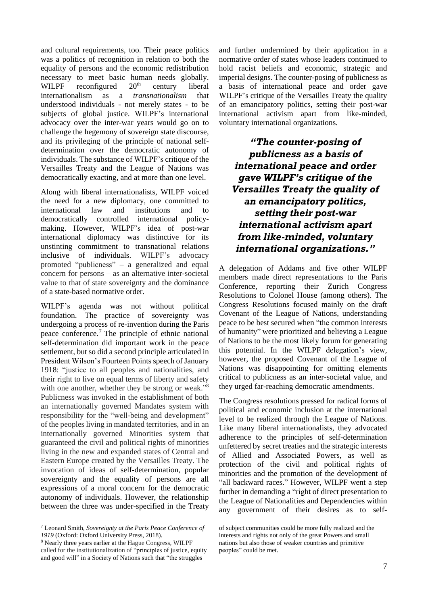and cultural requirements, too. Their peace politics was a politics of recognition in relation to both the equality of persons and the economic redistribution necessary to meet basic human needs globally. WILPF reconfigured  $20<sup>th</sup>$  century liberal internationalism as a *transnationalism* that understood individuals - not merely states - to be subjects of global justice. WILPF's international advocacy over the inter-war years would go on to challenge the hegemony of sovereign state discourse, and its privileging of the principle of national selfdetermination over the democratic autonomy of individuals. The substance of WILPF's critique of the Versailles Treaty and the League of Nations was democratically exacting, and at more than one level.

Along with liberal internationalists, WILPF voiced the need for a new diplomacy, one committed to international law and institutions and to democratically controlled international policymaking. However, WILPF's idea of post-war international diplomacy was distinctive for its unstinting commitment to transnational relations inclusive of individuals. WILPF's advocacy promoted "publicness" – a generalized and equal concern for persons – as an alternative inter-societal value to that of state sovereignty and the dominance of a state-based normative order.

WILPF's agenda was not without political foundation. The practice of sovereignty was undergoing a process of re-invention during the Paris peace conference.<sup>7</sup> The principle of ethnic national self-determination did important work in the peace settlement, but so did a second principle articulated in President Wilson's Fourteen Points speech of January 1918: "justice to all peoples and nationalities, and their right to live on equal terms of liberty and safety with one another, whether they be strong or weak."<sup>8</sup> Publicness was invoked in the establishment of both an internationally governed Mandates system with responsibility for the "well-being and development" of the peoples living in mandated territories, and in an internationally governed Minorities system that guaranteed the civil and political rights of minorities living in the new and expanded states of Central and Eastern Europe created by the Versailles Treaty. The invocation of ideas of self-determination, popular sovereignty and the equality of persons are all expressions of a moral concern for the democratic autonomy of individuals. However, the relationship between the three was under-specified in the Treaty

and further undermined by their application in a normative order of states whose leaders continued to hold racist beliefs and economic, strategic and imperial designs. The counter-posing of publicness as a basis of international peace and order gave WILPF's critique of the Versailles Treaty the quality of an emancipatory politics, setting their post-war international activism apart from like-minded, voluntary international organizations.

*"The counter-posing of publicness as a basis of international peace and order gave WILPF's critique of the Versailles Treaty the quality of an emancipatory politics, setting their post-war international activism apart from like-minded, voluntary international organizations."*

A delegation of Addams and five other WILPF members made direct representations to the Paris Conference, reporting their Zurich Congress Resolutions to Colonel House (among others). The Congress Resolutions focused mainly on the draft Covenant of the League of Nations, understanding peace to be best secured when "the common interests of humanity" were prioritized and believing a League of Nations to be the most likely forum for generating this potential. In the WILPF delegation's view, however, the proposed Covenant of the League of Nations was disappointing for omitting elements critical to publicness as an inter-societal value, and they urged far-reaching democratic amendments.

The Congress resolutions pressed for radical forms of political and economic inclusion at the international level to be realized through the League of Nations. Like many liberal internationalists, they advocated adherence to the principles of self-determination unfettered by secret treaties and the strategic interests of Allied and Associated Powers, as well as protection of the civil and political rights of minorities and the promotion of the development of "all backward races." However, WILPF went a step further in demanding a "right of direct presentation to the League of Nationalities and Dependencies within any government of their desires as to self-

<sup>7</sup> Leonard Smith, *Sovereignty at the Paris Peace Conference of 1919* (Oxford: Oxford University Press, 2018).

<sup>8</sup> Nearly three years earlier at the Hague Congress, WILPF called for the institutionalization of "principles of justice, equity and good will" in a Society of Nations such that "the struggles

of subject communities could be more fully realized and the interests and rights not only of the great Powers and small nations but also those of weaker countries and primitive peoples" could be met.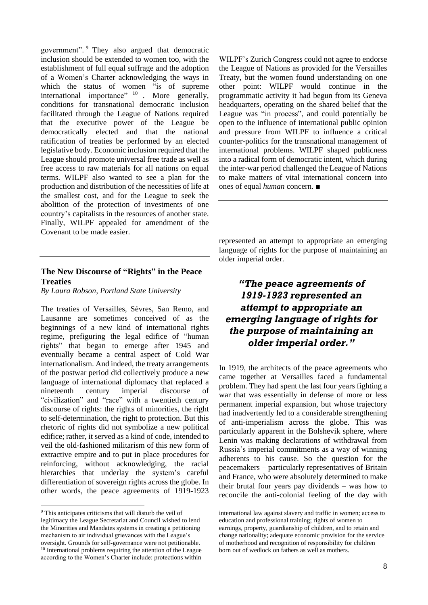government". <sup>9</sup> They also argued that democratic inclusion should be extended to women too, with the establishment of full equal suffrage and the adoption of a Women's Charter acknowledging the ways in which the status of women "is of supreme" international importance" <sup>10</sup> More generally, conditions for transnational democratic inclusion facilitated through the League of Nations required that the executive power of the League be democratically elected and that the national ratification of treaties be performed by an elected legislative body. Economic inclusion required that the League should promote universal free trade as well as free access to raw materials for all nations on equal terms. WILPF also wanted to see a plan for the production and distribution of the necessities of life at the smallest cost, and for the League to seek the abolition of the protection of investments of one country's capitalists in the resources of another state. Finally, WILPF appealed for amendment of the Covenant to be made easier.

#### **The New Discourse of "Rights" in the Peace Treaties**

*By Laura Robson, Portland State University*

The treaties of Versailles, Sèvres, San Remo, and Lausanne are sometimes conceived of as the beginnings of a new kind of international rights regime, prefiguring the legal edifice of "human rights" that began to emerge after 1945 and eventually became a central aspect of Cold War internationalism. And indeed, the treaty arrangements of the postwar period did collectively produce a new language of international diplomacy that replaced a nineteenth century imperial discourse of "civilization" and "race" with a twentieth century discourse of rights: the rights of minorities, the right to self-determination, the right to protection. But this rhetoric of rights did not symbolize a new political edifice; rather, it served as a kind of code, intended to veil the old-fashioned militarism of this new form of extractive empire and to put in place procedures for reinforcing, without acknowledging, the racial hierarchies that underlay the system's careful differentiation of sovereign rights across the globe. In other words, the peace agreements of 1919-1923

WILPF's Zurich Congress could not agree to endorse the League of Nations as provided for the Versailles Treaty, but the women found understanding on one other point: WILPF would continue in the programmatic activity it had begun from its Geneva headquarters, operating on the shared belief that the League was "in process", and could potentially be open to the influence of international public opinion and pressure from WILPF to influence a critical counter-politics for the transnational management of international problems. WILPF shaped publicness into a radical form of democratic intent, which during the inter-war period challenged the League of Nations to make matters of vital international concern into ones of equal *human* concern. ■

represented an attempt to appropriate an emerging language of rights for the purpose of maintaining an older imperial order.

## *"The peace agreements of 1919-1923 represented an attempt to appropriate an emerging language of rights for the purpose of maintaining an older imperial order."*

In 1919, the architects of the peace agreements who came together at Versailles faced a fundamental problem. They had spent the last four years fighting a war that was essentially in defense of more or less permanent imperial expansion, but whose trajectory had inadvertently led to a considerable strengthening of anti-imperialism across the globe. This was particularly apparent in the Bolshevik sphere, where Lenin was making declarations of withdrawal from Russia's imperial commitments as a way of winning adherents to his cause. So the question for the peacemakers – particularly representatives of Britain and France, who were absolutely determined to make their brutal four years pay dividends – was how to reconcile the anti-colonial feeling of the day with

<sup>9</sup> This anticipates criticisms that will disturb the veil of legitimacy the League Secretariat and Council wished to lend the Minorities and Mandates systems in creating a petitioning mechanism to air individual grievances with the League's oversight. Grounds for self-governance were not petitionable. <sup>10</sup> International problems requiring the attention of the League according to the Women's Charter include: protections within

international law against slavery and traffic in women; access to education and professional training; rights of women to earnings, property, guardianship of children, and to retain and change nationality; adequate economic provision for the service of motherhood and recognition of responsibility for children born out of wedlock on fathers as well as mothers.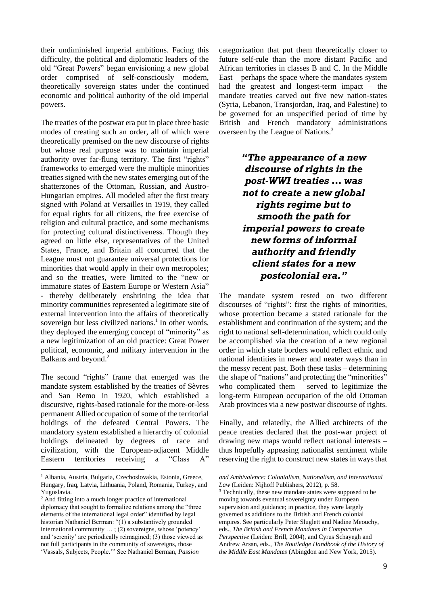their undiminished imperial ambitions. Facing this difficulty, the political and diplomatic leaders of the old "Great Powers" began envisioning a new global order comprised of self-consciously modern, theoretically sovereign states under the continued economic and political authority of the old imperial powers.

The treaties of the postwar era put in place three basic modes of creating such an order, all of which were theoretically premised on the new discourse of rights but whose real purpose was to maintain imperial authority over far-flung territory. The first "rights" frameworks to emerged were the multiple minorities treaties signed with the new states emerging out of the shatterzones of the Ottoman, Russian, and Austro-Hungarian empires. All modeled after the first treaty signed with Poland at Versailles in 1919, they called for equal rights for all citizens, the free exercise of religion and cultural practice, and some mechanisms for protecting cultural distinctiveness. Though they agreed on little else, representatives of the United States, France, and Britain all concurred that the League must not guarantee universal protections for minorities that would apply in their own metropoles; and so the treaties, were limited to the "new or immature states of Eastern Europe or Western Asia" - thereby deliberately enshrining the idea that minority communities represented a legitimate site of external intervention into the affairs of theoretically sovereign but less civilized nations.<sup>1</sup> In other words, they deployed the emerging concept of "minority" as a new legitimization of an old practice: Great Power political, economic, and military intervention in the Balkans and beyond.<sup>2</sup>

The second "rights" frame that emerged was the mandate system established by the treaties of Sèvres and San Remo in 1920, which established a discursive, rights-based rationale for the more-or-less permanent Allied occupation of some of the territorial holdings of the defeated Central Powers. The mandatory system established a hierarchy of colonial holdings delineated by degrees of race and civilization, with the European-adjacent Middle Eastern territories receiving a "Class A"

categorization that put them theoretically closer to future self-rule than the more distant Pacific and African territories in classes B and C. In the Middle East – perhaps the space where the mandates system had the greatest and longest-term impact – the mandate treaties carved out five new nation-states (Syria, Lebanon, Transjordan, Iraq, and Palestine) to be governed for an unspecified period of time by British and French mandatory administrations overseen by the League of Nations.<sup>3</sup>

> *"The appearance of a new discourse of rights in the post-WWI treaties … was not to create a new global rights regime but to smooth the path for imperial powers to create new forms of informal authority and friendly client states for a new postcolonial era."*

The mandate system rested on two different discourses of "rights": first the rights of minorities, whose protection became a stated rationale for the establishment and continuation of the system; and the right to national self-determination, which could only be accomplished via the creation of a new regional order in which state borders would reflect ethnic and national identities in newer and neater ways than in the messy recent past. Both these tasks – determining the shape of "nations" and protecting the "minorities" who complicated them – served to legitimize the long-term European occupation of the old Ottoman Arab provinces via a new postwar discourse of rights.

Finally, and relatedly, the Allied architects of the peace treaties declared that the post-war project of drawing new maps would reflect national interests – thus hopefully appeasing nationalist sentiment while reserving the right to construct new states in ways that

<sup>3</sup> Technically, these new mandate states were supposed to be moving towards eventual sovereignty under European supervision and guidance; in practice, they were largely governed as additions to the British and French colonial empires. See particularly Peter Sluglett and Nadine Meouchy, eds., *The British and French Mandates in Comparative Perspective* (Leiden: Brill, 2004), and Cyrus Schayegh and Andrew Arsan, eds., *The Routledge Handbook of the History of the Middle East Mandates* (Abingdon and New York, 2015).

<sup>1</sup> Albania, Austria, Bulgaria, Czechoslovakia, Estonia, Greece, Hungary, Iraq, Latvia, Lithuania, Poland, Romania, Turkey, and Yugoslavia.

<sup>2</sup> And fitting into a much longer practice of international diplomacy that sought to formalize relations among the "three elements of the international legal order" identified by legal historian Nathaniel Berman: "(1) a substantively grounded international community … ; (2) sovereigns, whose 'potency' and 'serenity' are periodically reimagined; (3) those viewed as not full participants in the community of sovereigns, those 'Vassals, Subjects, People.'" See Nathaniel Berman, *Passion* 

*and Ambivalence: Colonialism, Nationalism, and International Law* (Leiden: Nijhoff Publishers, 2012), p. 58.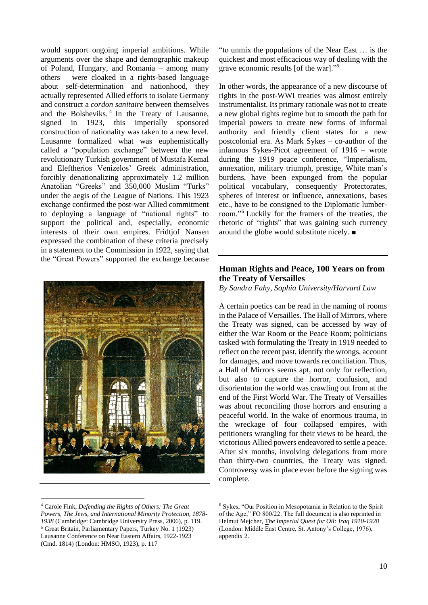would support ongoing imperial ambitions. While arguments over the shape and demographic makeup of Poland, Hungary, and Romania – among many others – were cloaked in a rights-based language about self-determination and nationhood, they actually represented Allied efforts to isolate Germany and construct a *cordon sanitaire* between themselves and the Bolsheviks.<sup>4</sup> In the Treaty of Lausanne, signed in 1923, this imperially sponsored construction of nationality was taken to a new level. Lausanne formalized what was euphemistically called a "population exchange" between the new revolutionary Turkish government of Mustafa Kemal and Eleftherios Venizelos' Greek administration, forcibly denationalizing approximately 1.2 million Anatolian "Greeks" and 350,000 Muslim "Turks" under the aegis of the League of Nations. This 1923 exchange confirmed the post-war Allied commitment to deploying a language of "national rights" to support the political and, especially, economic interests of their own empires. Fridtjof Nansen expressed the combination of these criteria precisely in a statement to the Commission in 1922, saying that the "Great Powers" supported the exchange because



"to unmix the populations of the Near East … is the quickest and most efficacious way of dealing with the grave economic results [of the war]."<sup>5</sup>

In other words, the appearance of a new discourse of rights in the post-WWI treaties was almost entirely instrumentalist. Its primary rationale was not to create a new global rights regime but to smooth the path for imperial powers to create new forms of informal authority and friendly client states for a new postcolonial era. As Mark Sykes – co-author of the infamous Sykes-Picot agreement of 1916 – wrote during the 1919 peace conference, "Imperialism, annexation, military triumph, prestige, White man's burdens, have been expunged from the popular political vocabulary, consequently Protectorates, spheres of interest or influence, annexations, bases etc., have to be consigned to the Diplomatic lumberroom."<sup>6</sup> Luckily for the framers of the treaties, the rhetoric of "rights" that was gaining such currency around the globe would substitute nicely. ■

#### **Human Rights and Peace, 100 Years on from the Treaty of Versailles**

*By Sandra Fahy, Sophia University/Harvard Law*

A certain poetics can be read in the naming of rooms in the Palace of Versailles. The Hall of Mirrors, where the Treaty was signed, can be accessed by way of either the War Room or the Peace Room; politicians tasked with formulating the Treaty in 1919 needed to reflect on the recent past, identify the wrongs, account for damages, and move towards reconciliation. Thus, a Hall of Mirrors seems apt, not only for reflection, but also to capture the horror, confusion, and disorientation the world was crawling out from at the end of the First World War. The Treaty of Versailles was about reconciling those horrors and ensuring a peaceful world. In the wake of enormous trauma, in the wreckage of four collapsed empires, with petitioners wrangling for their views to be heard, the victorious Allied powers endeavored to settle a peace. After six months, involving delegations from more than thirty-two countries, the Treaty was signed. Controversy was in place even before the signing was complete.

<sup>4</sup> Carole Fink, *Defending the Rights of Others: The Great Powers, The Jews, and International Minority Protection, 1878- 1938* (Cambridge: Cambridge University Press, 2006), p. 119. <sup>5</sup> Great Britain, Parliamentary Papers, Turkey No. 1 (1923) Lausanne Conference on Near Eastern Affairs, 1922-1923 (Cmd. 1814) (London: HMSO, 1923), p. 117

<sup>6</sup> Sykes, "Our Position in Mesopotamia in Relation to the Spirit of the Age," FO 800/22. The full document is also reprinted in Helmut Mejcher, T*he Imperial Quest for Oil: Iraq 1910-1928* (London: Middle East Centre, St. Antony's College, 1976), appendix 2.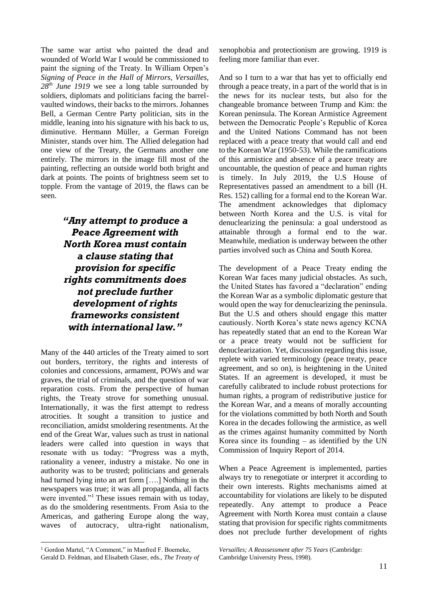The same war artist who painted the dead and wounded of World War I would be commissioned to paint the signing of the Treaty. In William Orpen's *Signing of Peace in the Hall of Mirrors, Versailles, 28th June 1919* we see a long table surrounded by soldiers, diplomats and politicians facing the barrelvaulted windows, their backs to the mirrors. Johannes Bell, a German Centre Party politician, sits in the middle, leaning into his signature with his back to us, diminutive. Hermann Müller, a German Foreign Minister, stands over him. The Allied delegation had one view of the Treaty, the Germans another one entirely. The mirrors in the image fill most of the painting, reflecting an outside world both bright and dark at points. The points of brightness seem set to topple. From the vantage of 2019, the flaws can be seen.

## *"Any attempt to produce a Peace Agreement with North Korea must contain a clause stating that provision for specific rights commitments does not preclude further development of rights frameworks consistent with international law."*

Many of the 440 articles of the Treaty aimed to sort out borders, territory, the rights and interests of colonies and concessions, armament, POWs and war graves, the trial of criminals, and the question of war reparation costs. From the perspective of human rights, the Treaty strove for something unusual. Internationally, it was the first attempt to redress atrocities. It sought a transition to justice and reconciliation, amidst smoldering resentments. At the end of the Great War, values such as trust in national leaders were called into question in ways that resonate with us today: "Progress was a myth, rationality a veneer, industry a mistake. No one in authority was to be trusted; politicians and generals had turned lying into an art form [….] Nothing in the newspapers was true; it was all propaganda, all facts were invented."<sup>1</sup> These issues remain with us today, as do the smoldering resentments. From Asia to the Americas, and gathering Europe along the way, waves of autocracy, ultra-right nationalism,

xenophobia and protectionism are growing. 1919 is feeling more familiar than ever.

And so I turn to a war that has yet to officially end through a peace treaty, in a part of the world that is in the news for its nuclear tests, but also for the changeable bromance between Trump and Kim: the Korean peninsula. The Korean Armistice Agreement between the Democratic People's Republic of Korea and the United Nations Command has not been replaced with a peace treaty that would call and end to the Korean War (1950-53). While the ramifications of this armistice and absence of a peace treaty are uncountable, the question of peace and human rights is timely. In July 2019, the U.S House of Representatives passed an amendment to a bill (H. Res. 152) calling for a formal end to the Korean War. The amendment acknowledges that diplomacy between North Korea and the U.S. is vital for denuclearizing the peninsula: a goal understood as attainable through a formal end to the war. Meanwhile, mediation is underway between the other parties involved such as China and South Korea.

The development of a Peace Treaty ending the Korean War faces many judicial obstacles. As such, the United States has favored a "declaration" ending the Korean War as a symbolic diplomatic gesture that would open the way for denuclearizing the peninsula. But the U.S and others should engage this matter cautiously. North Korea's state news agency KCNA has repeatedly stated that an end to the Korean War or a peace treaty would not be sufficient for denuclearization. Yet, discussion regarding this issue, replete with varied terminology (peace treaty, peace agreement, and so on), is heightening in the United States. If an agreement is developed, it must be carefully calibrated to include robust protections for human rights, a program of redistributive justice for the Korean War, and a means of morally accounting for the violations committed by both North and South Korea in the decades following the armistice, as well as the crimes against humanity committed by North Korea since its founding  $-$  as identified by the UN Commission of Inquiry Report of 2014.

When a Peace Agreement is implemented, parties always try to renegotiate or interpret it according to their own interests. Rights mechanisms aimed at accountability for violations are likely to be disputed repeatedly. Any attempt to produce a Peace Agreement with North Korea must contain a clause stating that provision for specific rights commitments does not preclude further development of rights

<sup>&</sup>lt;sup>1</sup> Gordon Martel, "A Comment," in Manfred F. Boemeke, Gerald D. Feldman, and Elisabeth Glaser, eds., *The Treaty of* 

*Versailles; A Reassessment after 75 Years* (Cambridge: Cambridge University Press, 1998).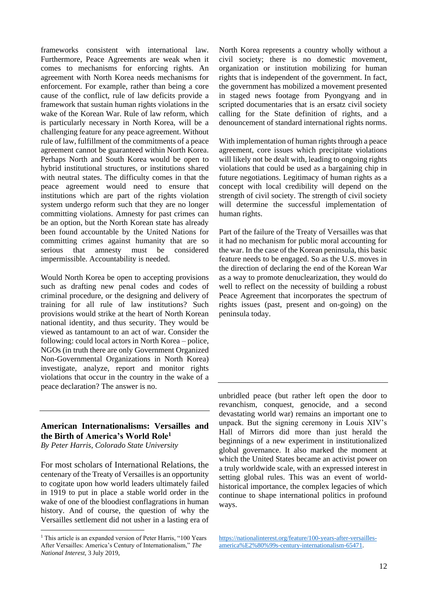frameworks consistent with international law. Furthermore, Peace Agreements are weak when it comes to mechanisms for enforcing rights. An agreement with North Korea needs mechanisms for enforcement. For example, rather than being a core cause of the conflict, rule of law deficits provide a framework that sustain human rights violations in the wake of the Korean War. Rule of law reform, which is particularly necessary in North Korea, will be a challenging feature for any peace agreement. Without rule of law, fulfillment of the commitments of a peace agreement cannot be guaranteed within North Korea. Perhaps North and South Korea would be open to hybrid institutional structures, or institutions shared with neutral states. The difficulty comes in that the peace agreement would need to ensure that institutions which are part of the rights violation system undergo reform such that they are no longer committing violations. Amnesty for past crimes can be an option, but the North Korean state has already been found accountable by the United Nations for committing crimes against humanity that are so serious that amnesty must be considered impermissible. Accountability is needed.

Would North Korea be open to accepting provisions such as drafting new penal codes and codes of criminal procedure, or the designing and delivery of training for all rule of law institutions? Such provisions would strike at the heart of North Korean national identity, and thus security. They would be viewed as tantamount to an act of war. Consider the following: could local actors in North Korea – police, NGOs (in truth there are only Government Organized Non-Governmental Organizations in North Korea) investigate, analyze, report and monitor rights violations that occur in the country in the wake of a peace declaration? The answer is no.

#### **American Internationalisms: Versailles and the Birth of America's World Role<sup>1</sup>**

*By Peter Harris, Colorado State University*

For most scholars of International Relations, the centenary of the Treaty of Versailles is an opportunity to cogitate upon how world leaders ultimately failed in 1919 to put in place a stable world order in the wake of one of the bloodiest conflagrations in human history. And of course, the question of why the Versailles settlement did not usher in a lasting era of North Korea represents a country wholly without a civil society; there is no domestic movement, organization or institution mobilizing for human rights that is independent of the government. In fact, the government has mobilized a movement presented in staged news footage from Pyongyang and in scripted documentaries that is an ersatz civil society calling for the State definition of rights, and a denouncement of standard international rights norms.

With implementation of human rights through a peace agreement, core issues which precipitate violations will likely not be dealt with, leading to ongoing rights violations that could be used as a bargaining chip in future negotiations. Legitimacy of human rights as a concept with local credibility will depend on the strength of civil society. The strength of civil society will determine the successful implementation of human rights.

Part of the failure of the Treaty of Versailles was that it had no mechanism for public moral accounting for the war. In the case of the Korean peninsula, this basic feature needs to be engaged. So as the U.S. moves in the direction of declaring the end of the Korean War as a way to promote denuclearization, they would do well to reflect on the necessity of building a robust Peace Agreement that incorporates the spectrum of rights issues (past, present and on-going) on the peninsula today.

unbridled peace (but rather left open the door to revanchism, conquest, genocide, and a second devastating world war) remains an important one to unpack. But the signing ceremony in Louis XIV's Hall of Mirrors did more than just herald the beginnings of a new experiment in institutionalized global governance. It also marked the moment at which the United States became an activist power on a truly worldwide scale, with an expressed interest in setting global rules. This was an event of worldhistorical importance, the complex legacies of which continue to shape international politics in profound ways.

[https://nationalinterest.org/feature/100-years-after-versailles](https://nationalinterest.org/feature/100-years-after-versailles-america%E2%80%99s-century-internationalism-65471)[america%E2%80%99s-century-internationalism-65471.](https://nationalinterest.org/feature/100-years-after-versailles-america%E2%80%99s-century-internationalism-65471)

<sup>&</sup>lt;sup>1</sup> This article is an expanded version of Peter Harris, "100 Years After Versailles: America's Century of Internationalism," *The National Interest*, 3 July 2019,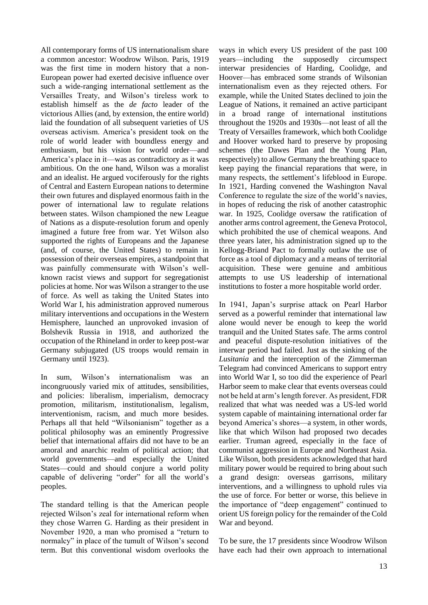All contemporary forms of US internationalism share a common ancestor: Woodrow Wilson. Paris, 1919 was the first time in modern history that a non-European power had exerted decisive influence over such a wide-ranging international settlement as the Versailles Treaty, and Wilson's tireless work to establish himself as the *de facto* leader of the victorious Allies (and, by extension, the entire world) laid the foundation of all subsequent varieties of US overseas activism. America's president took on the role of world leader with boundless energy and enthusiasm, but his vision for world order—and America's place in it—was as contradictory as it was ambitious. On the one hand, Wilson was a moralist and an idealist. He argued vociferously for the rights of Central and Eastern European nations to determine their own futures and displayed enormous faith in the power of international law to regulate relations between states. Wilson championed the new League of Nations as a dispute-resolution forum and openly imagined a future free from war. Yet Wilson also supported the rights of Europeans and the Japanese (and, of course, the United States) to remain in possession of their overseas empires, a standpoint that was painfully commensurate with Wilson's wellknown racist views and support for segregationist policies at home. Nor was Wilson a stranger to the use of force. As well as taking the United States into World War I, his administration approved numerous military interventions and occupations in the Western Hemisphere, launched an unprovoked invasion of Bolshevik Russia in 1918, and authorized the occupation of the Rhineland in order to keep post-war Germany subjugated (US troops would remain in Germany until 1923).

In sum, Wilson's internationalism was an incongruously varied mix of attitudes, sensibilities, and policies: liberalism, imperialism, democracy promotion, militarism, institutionalism, legalism, interventionism, racism, and much more besides. Perhaps all that held "Wilsonianism" together as a political philosophy was an eminently Progressive belief that international affairs did not have to be an amoral and anarchic realm of political action; that world governments—and especially the United States—could and should conjure a world polity capable of delivering "order" for all the world's peoples.

The standard telling is that the American people rejected Wilson's zeal for international reform when they chose Warren G. Harding as their president in November 1920, a man who promised a "return to normalcy" in place of the tumult of Wilson's second term. But this conventional wisdom overlooks the

ways in which every US president of the past 100 years—including the supposedly circumspect interwar presidencies of Harding, Coolidge, and Hoover—has embraced some strands of Wilsonian internationalism even as they rejected others. For example, while the United States declined to join the League of Nations, it remained an active participant in a broad range of international institutions throughout the 1920s and 1930s—not least of all the Treaty of Versailles framework, which both Coolidge and Hoover worked hard to preserve by proposing schemes (the Dawes Plan and the Young Plan, respectively) to allow Germany the breathing space to keep paying the financial reparations that were, in many respects, the settlement's lifeblood in Europe. In 1921, Harding convened the Washington Naval Conference to regulate the size of the world's navies, in hopes of reducing the risk of another catastrophic war. In 1925, Coolidge oversaw the ratification of another arms control agreement, the Geneva Protocol, which prohibited the use of chemical weapons. And three years later, his administration signed up to the Kellogg-Briand Pact to formally outlaw the use of force as a tool of diplomacy and a means of territorial acquisition. These were genuine and ambitious attempts to use US leadership of international institutions to foster a more hospitable world order.

In 1941, Japan's surprise attack on Pearl Harbor served as a powerful reminder that international law alone would never be enough to keep the world tranquil and the United States safe. The arms control and peaceful dispute-resolution initiatives of the interwar period had failed. Just as the sinking of the *Lusitania* and the interception of the Zimmerman Telegram had convinced Americans to support entry into World War I, so too did the experience of Pearl Harbor seem to make clear that events overseas could not be held at arm's length forever. As president, FDR realized that what was needed was a US-led world system capable of maintaining international order far beyond America's shores—a system, in other words, like that which Wilson had proposed two decades earlier. Truman agreed, especially in the face of communist aggression in Europe and Northeast Asia. Like Wilson, both presidents acknowledged that hard military power would be required to bring about such a grand design: overseas garrisons, military interventions, and a willingness to uphold rules via the use of force. For better or worse, this believe in the importance of "deep engagement" continued to orient US foreign policy for the remainder of the Cold War and beyond.

To be sure, the 17 presidents since Woodrow Wilson have each had their own approach to international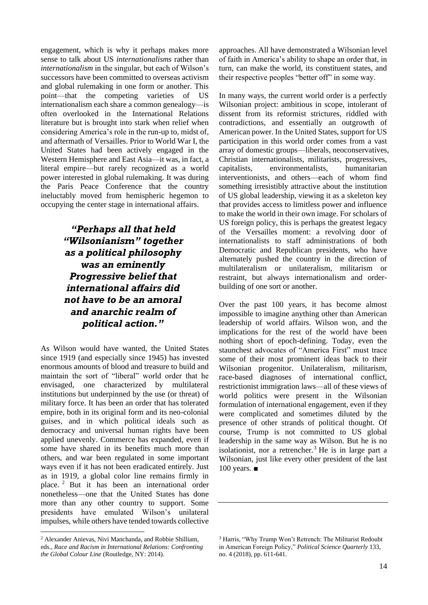engagement, which is why it perhaps makes more sense to talk about US *internationalisms* rather than *internationalism* in the singular, but each of Wilson's successors have been committed to overseas activism and global rulemaking in one form or another. This point—that the competing varieties of US internationalism each share a common genealogy—is often overlooked in the International Relations literature but is brought into stark when relief when considering America's role in the run-up to, midst of, and aftermath of Versailles. Prior to World War I, the United States had been actively engaged in the Western Hemisphere and East Asia—it was, in fact, a literal empire—but rarely recognized as a world power interested in global rulemaking. It was during the Paris Peace Conference that the country ineluctably moved from hemispheric hegemon to occupying the center stage in international affairs.

> *"Perhaps all that held "Wilsonianism" together as a political philosophy was an eminently Progressive belief that international affairs did not have to be an amoral and anarchic realm of political action."*

As Wilson would have wanted, the United States since 1919 (and especially since 1945) has invested enormous amounts of blood and treasure to build and maintain the sort of "liberal" world order that he envisaged, one characterized by multilateral institutions but underpinned by the use (or threat) of military force. It has been an order that has tolerated empire, both in its original form and its neo-colonial guises, and in which political ideals such as democracy and universal human rights have been applied unevenly. Commerce has expanded, even if some have shared in its benefits much more than others, and war been regulated in some important ways even if it has not been eradicated entirely. Just as in 1919, a global color line remains firmly in place. <sup>2</sup> But it has been an international order nonetheless—one that the United States has done more than any other country to support. Some presidents have emulated Wilson's unilateral impulses, while others have tended towards collective

approaches. All have demonstrated a Wilsonian level of faith in America's ability to shape an order that, in turn, can make the world, its constituent states, and their respective peoples "better off" in some way.

In many ways, the current world order is a perfectly Wilsonian project: ambitious in scope, intolerant of dissent from its reformist strictures, riddled with contradictions, and essentially an outgrowth of American power. In the United States, support for US participation in this world order comes from a vast array of domestic groups—liberals, neoconservatives, Christian internationalists, militarists, progressives, capitalists, environmentalists, humanitarian interventionists, and others—each of whom find something irresistibly attractive about the institution of US global leadership, viewing it as a skeleton key that provides access to limitless power and influence to make the world in their own image. For scholars of US foreign policy, this is perhaps the greatest legacy of the Versailles moment: a revolving door of internationalists to staff administrations of both Democratic and Republican presidents, who have alternately pushed the country in the direction of multilateralism or unilateralism, militarism or restraint, but always internationalism and orderbuilding of one sort or another.

Over the past 100 years, it has become almost impossible to imagine anything other than American leadership of world affairs. Wilson won, and the implications for the rest of the world have been nothing short of epoch-defining. Today, even the staunchest advocates of "America First" must trace some of their most prominent ideas back to their Wilsonian progenitor. Unilateralism, militarism, race-based diagnoses of international conflict, restrictionist immigration laws—all of these views of world politics were present in the Wilsonian formulation of international engagement, even if they were complicated and sometimes diluted by the presence of other strands of political thought. Of course, Trump is not committed to US global leadership in the same way as Wilson. But he is no isolationist, nor a retrencher.<sup>3</sup> He is in large part a Wilsonian, just like every other president of the last 100 years.  $\blacksquare$ 

<sup>2</sup> Alexander Anievas, Nivi Manchanda, and Robbie Shilliam, eds., *Race and Racism in International Relations: Confronting the Global Colour Line* (Routledge, NY: 2014).

<sup>3</sup> Harris, "Why Trump Won't Retrench: The Militarist Redoubt in American Foreign Policy," *Political Science Quarterly* 133, no. 4 (2018), pp. 611-641.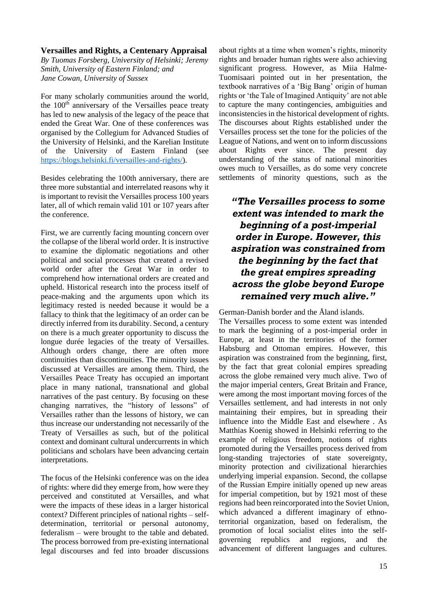#### **Versailles and Rights, a Centenary Appraisal**

*By Tuomas Forsberg, University of Helsinki; Jeremy Smith, University of Eastern Finland; and Jane Cowan, University of Sussex*

For many scholarly communities around the world, the  $100<sup>th</sup>$  anniversary of the Versailles peace treaty has led to new analysis of the legacy of the peace that ended the Great War. One of these conferences was organised by the Collegium for Advanced Studies of the University of Helsinki, and the Karelian Institute of the University of Eastern Finland (see [https://blogs.helsinki.fi/versailles-and-rights/\)](https://blogs.helsinki.fi/versailles-and-rights/).

Besides celebrating the 100th anniversary, there are three more substantial and interrelated reasons why it is important to revisit the Versailles process 100 years later, all of which remain valid 101 or 107 years after the conference.

First, we are currently facing mounting concern over the collapse of the liberal world order. It is instructive to examine the diplomatic negotiations and other political and social processes that created a revised world order after the Great War in order to comprehend how international orders are created and upheld. Historical research into the process itself of peace-making and the arguments upon which its legitimacy rested is needed because it would be a fallacy to think that the legitimacy of an order can be directly inferred from its durability. Second, a century on there is a much greater opportunity to discuss the longue durée legacies of the treaty of Versailles. Although orders change, there are often more continuities than discontinuities. The minority issues discussed at Versailles are among them. Third, the Versailles Peace Treaty has occupied an important place in many national, transnational and global narratives of the past century. By focusing on these changing narratives, the "history of lessons" of Versailles rather than the lessons of history, we can thus increase our understanding not necessarily of the Treaty of Versailles as such, but of the political context and dominant cultural undercurrents in which politicians and scholars have been advancing certain interpretations.

The focus of the Helsinki conference was on the idea of rights: where did they emerge from, how were they perceived and constituted at Versailles, and what were the impacts of these ideas in a larger historical context? Different principles of national rights – selfdetermination, territorial or personal autonomy, federalism – were brought to the table and debated. The process borrowed from pre-existing international legal discourses and fed into broader discussions

about rights at a time when women's rights, minority rights and broader human rights were also achieving significant progress. However, as Miia Halme-Tuomisaari pointed out in her presentation, the textbook narratives of a 'Big Bang' origin of human rights or 'the Tale of Imagined Antiquity' are not able to capture the many contingencies, ambiguities and inconsistencies in the historical development of rights. The discourses about Rights established under the Versailles process set the tone for the policies of the League of Nations, and went on to inform discussions about Rights ever since. The present day understanding of the status of national minorities owes much to Versailles, as do some very concrete settlements of minority questions, such as the

## *"The Versailles process to some extent was intended to mark the beginning of a post-imperial order in Europe. However, this aspiration was constrained from the beginning by the fact that the great empires spreading across the globe beyond Europe remained very much alive."*

German-Danish border and the Åland islands.

The Versailles process to some extent was intended to mark the beginning of a post-imperial order in Europe, at least in the territories of the former Habsburg and Ottoman empires. However, this aspiration was constrained from the beginning, first, by the fact that great colonial empires spreading across the globe remained very much alive. Two of the major imperial centers, Great Britain and France, were among the most important moving forces of the Versailles settlement, and had interests in not only maintaining their empires, but in spreading their influence into the Middle East and elsewhere . As Matthias Koenig showed in Helsinki referring to the example of religious freedom, notions of rights promoted during the Versailles process derived from long-standing trajectories of state sovereignty, minority protection and civilizational hierarchies underlying imperial expansion. Second, the collapse of the Russian Empire initially opened up new areas for imperial competition, but by 1921 most of these regions had been reincorporated into the Soviet Union, which advanced a different imaginary of ethnoterritorial organization, based on federalism, the promotion of local socialist elites into the selfgoverning republics and regions, and the advancement of different languages and cultures.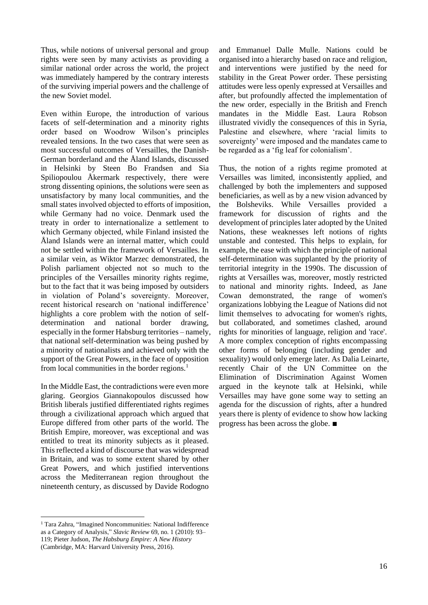Thus, while notions of universal personal and group rights were seen by many activists as providing a similar national order across the world, the project was immediately hampered by the contrary interests of the surviving imperial powers and the challenge of the new Soviet model.

Even within Europe, the introduction of various facets of self-determination and a minority rights order based on Woodrow Wilson's principles revealed tensions. In the two cases that were seen as most successful outcomes of Versailles, the Danish-German borderland and the Åland Islands, discussed in Helsinki by Steen Bo Frandsen and Sia Spiliopoulou Åkermark respectively, there were strong dissenting opinions, the solutions were seen as unsatisfactory by many local communities, and the small states involved objected to efforts of imposition, while Germany had no voice. Denmark used the treaty in order to internationalize a settlement to which Germany objected, while Finland insisted the Åland Islands were an internal matter, which could not be settled within the framework of Versailles. In a similar vein, as Wiktor Marzec demonstrated, the Polish parliament objected not so much to the principles of the Versailles minority rights regime, but to the fact that it was being imposed by outsiders in violation of Poland's sovereignty. Moreover, recent historical research on 'national indifference' highlights a core problem with the notion of selfdetermination and national border drawing, especially in the former Habsburg territories – namely, that national self-determination was being pushed by a minority of nationalists and achieved only with the support of the Great Powers, in the face of opposition from local communities in the border regions.<sup>1</sup>

In the Middle East, the contradictions were even more glaring. Georgios Giannakopoulos discussed how British liberals justified differentiated rights regimes through a civilizational approach which argued that Europe differed from other parts of the world. The British Empire, moreover, was exceptional and was entitled to treat its minority subjects as it pleased. This reflected a kind of discourse that was widespread in Britain, and was to some extent shared by other Great Powers, and which justified interventions across the Mediterranean region throughout the nineteenth century, as discussed by Davide Rodogno

<sup>1</sup> Tara Zahra, "Imagined Noncommunities: National Indifference as a Category of Analysis," *Slavic Review* 69, no. 1 (2010): 93– 119; Pieter Judson, *The Habsburg Empire: A New History* (Cambridge, MA: Harvard University Press, 2016).

and Emmanuel Dalle Mulle. Nations could be organised into a hierarchy based on race and religion, and interventions were justified by the need for stability in the Great Power order. These persisting attitudes were less openly expressed at Versailles and after, but profoundly affected the implementation of the new order, especially in the British and French mandates in the Middle East. Laura Robson illustrated vividly the consequences of this in Syria, Palestine and elsewhere, where 'racial limits to sovereignty' were imposed and the mandates came to be regarded as a 'fig leaf for colonialism'.

Thus, the notion of a rights regime promoted at Versailles was limited, inconsistently applied, and challenged by both the implementers and supposed beneficiaries, as well as by a new vision advanced by the Bolsheviks. While Versailles provided a framework for discussion of rights and the development of principles later adopted by the United Nations, these weaknesses left notions of rights unstable and contested. This helps to explain, for example, the ease with which the principle of national self-determination was supplanted by the priority of territorial integrity in the 1990s. The discussion of rights at Versailles was, moreover, mostly restricted to national and minority rights. Indeed, as Jane Cowan demonstrated, the range of women's organizations lobbying the League of Nations did not limit themselves to advocating for women's rights, but collaborated, and sometimes clashed, around rights for minorities of language, religion and 'race'. A more complex conception of rights encompassing other forms of belonging (including gender and sexuality) would only emerge later. As Dalia Leinarte, recently Chair of the UN Committee on the Elimination of Discrimination Against Women argued in the keynote talk at Helsinki, while Versailles may have gone some way to setting an agenda for the discussion of rights, after a hundred years there is plenty of evidence to show how lacking progress has been across the globe. ■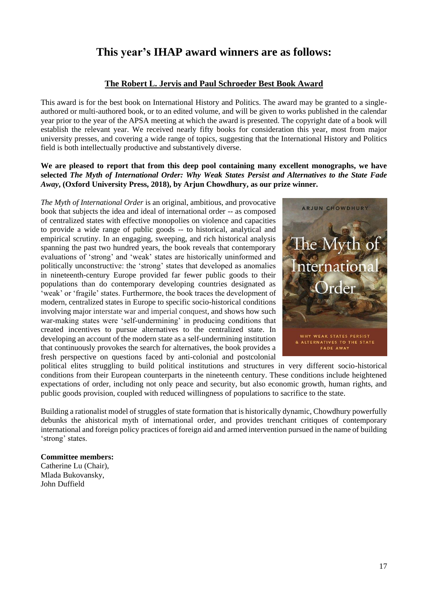## **This year's IHAP award winners are as follows:**

#### **The Robert L. Jervis and Paul Schroeder Best Book Award**

This award is for the best book on International History and Politics. The award may be granted to a singleauthored or multi-authored book, or to an edited volume, and will be given to works published in the calendar year prior to the year of the APSA meeting at which the award is presented. The copyright date of a book will establish the relevant year. We received nearly fifty books for consideration this year, most from major university presses, and covering a wide range of topics, suggesting that the International History and Politics field is both intellectually productive and substantively diverse.

#### **We are pleased to report that from this deep pool containing many excellent monographs, we have selected** *The Myth of International Order: Why Weak States Persist and Alternatives to the State Fade Away***, (Oxford University Press, 2018), by Arjun Chowdhury, as our prize winner***.*

*The Myth of International Order* is an original, ambitious, and provocative book that subjects the idea and ideal of international order -- as composed of centralized states with effective monopolies on violence and capacities to provide a wide range of public goods -- to historical, analytical and empirical scrutiny. In an engaging, sweeping, and rich historical analysis spanning the past two hundred years, the book reveals that contemporary evaluations of 'strong' and 'weak' states are historically uninformed and politically unconstructive: the 'strong' states that developed as anomalies in nineteenth-century Europe provided far fewer public goods to their populations than do contemporary developing countries designated as 'weak' or 'fragile' states. Furthermore, the book traces the development of modern, centralized states in Europe to specific socio-historical conditions involving major interstate war and imperial conquest, and shows how such war-making states were 'self-undermining' in producing conditions that created incentives to pursue alternatives to the centralized state. In developing an account of the modern state as a self-undermining institution that continuously provokes the search for alternatives, the book provides a fresh perspective on questions faced by anti-colonial and postcolonial



political elites struggling to build political institutions and structures in very different socio-historical conditions from their European counterparts in the nineteenth century. These conditions include heightened expectations of order, including not only peace and security, but also economic growth, human rights, and public goods provision, coupled with reduced willingness of populations to sacrifice to the state.

Building a rationalist model of struggles of state formation that is historically dynamic, Chowdhury powerfully debunks the ahistorical myth of international order, and provides trenchant critiques of contemporary international and foreign policy practices of foreign aid and armed intervention pursued in the name of building 'strong' states.

#### **Committee members:**

Catherine Lu (Chair), Mlada Bukovansky, John Duffield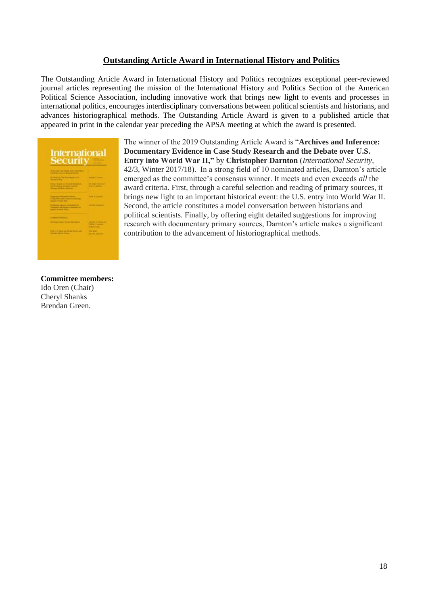#### **Outstanding Article Award in International History and Politics**

The Outstanding Article Award in International History and Politics recognizes exceptional peer-reviewed journal articles representing the mission of the International History and Politics Section of the American Political Science Association, including innovative work that brings new light to events and processes in international politics, encourages interdisciplinary conversations between political scientists and historians, and advances historiographical methods. The Outstanding Article Award is given to a published article that appeared in print in the calendar year preceding the APSA meeting at which the award is presented.

| <b>International</b>    |  |
|-------------------------|--|
|                         |  |
| <b>Security</b>         |  |
|                         |  |
|                         |  |
|                         |  |
|                         |  |
|                         |  |
| 2020                    |  |
|                         |  |
| <b>Shannon Street</b>   |  |
|                         |  |
|                         |  |
|                         |  |
| <b>Service Contract</b> |  |
|                         |  |
|                         |  |
| <b>September</b>        |  |
|                         |  |
|                         |  |
| <b>Reservation of</b>   |  |
|                         |  |
|                         |  |
|                         |  |
|                         |  |
| <b>FOR US SALE BANK</b> |  |
|                         |  |

The winner of the 2019 Outstanding Article Award is "**Archives and Inference: Documentary Evidence in Case Study Research and the Debate over U.S. Entry into World War II,"** by **Christopher Darnton** (*International Security*, 42/3, Winter 2017/18). In a strong field of 10 nominated articles, Darnton's article emerged as the committee's consensus winner. It meets and even exceeds *all* the award criteria. First, through a careful selection and reading of primary sources, it brings new light to an important historical event: the U.S. entry into World War II. Second, the article constitutes a model conversation between historians and political scientists. Finally, by offering eight detailed suggestions for improving research with documentary primary sources, Darnton's article makes a significant contribution to the advancement of historiographical methods.

## **Committee members:** Ido Oren (Chair)

Cheryl Shanks Brendan Green.